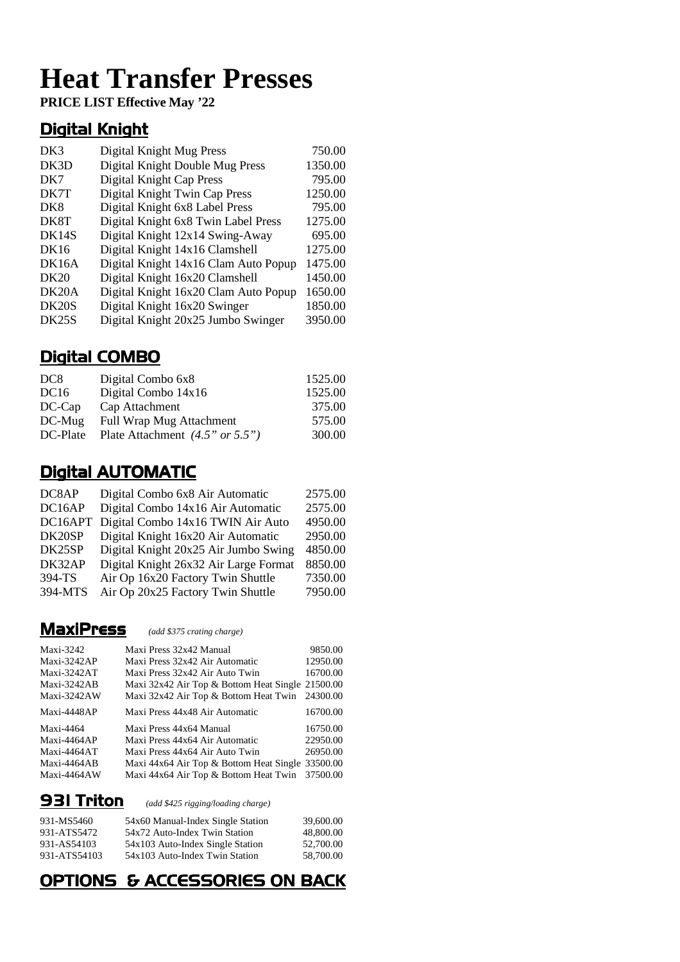# **Heat Transfer Presses**

**PRICE LIST Effective May '22**

### Digital Knight

| DK3                | Digital Knight Mug Press             | 750.00  |
|--------------------|--------------------------------------|---------|
| DK3D               | Digital Knight Double Mug Press      | 1350.00 |
| DK7                | Digital Knight Cap Press             | 795.00  |
| DK7T               | Digital Knight Twin Cap Press        | 1250.00 |
| DK <sub>8</sub>    | Digital Knight 6x8 Label Press       | 795.00  |
| DK8T               | Digital Knight 6x8 Twin Label Press  | 1275.00 |
| DK14S              | Digital Knight 12x14 Swing-Away      | 695.00  |
| <b>DK16</b>        | Digital Knight 14x16 Clamshell       | 1275.00 |
| DK16A              | Digital Knight 14x16 Clam Auto Popup | 1475.00 |
| <b>DK20</b>        | Digital Knight 16x20 Clamshell       | 1450.00 |
| DK <sub>20</sub> A | Digital Knight 16x20 Clam Auto Popup | 1650.00 |
| DK20S              | Digital Knight 16x20 Swinger         | 1850.00 |
| DK25S              | Digital Knight 20x25 Jumbo Swinger   | 3950.00 |

### Digital COMBO

| DC <sub>8</sub> | Digital Combo 6x8                 | 1525.00 |
|-----------------|-----------------------------------|---------|
| DC16            | Digital Combo 14x16               | 1525.00 |
| $DC-Cap$        | Cap Attachment                    | 375.00  |
| $DC$ -Mug       | <b>Full Wrap Mug Attachment</b>   | 575.00  |
| DC-Plate        | Plate Attachment $(4.5" or 5.5")$ | 300.00  |

### **Digital AUTOMATIC**

| DC8AP   | Digital Combo 6x8 Air Automatic       | 2575.00 |
|---------|---------------------------------------|---------|
| DC16AP  | Digital Combo 14x16 Air Automatic     | 2575.00 |
| DC16APT | Digital Combo 14x16 TWIN Air Auto     | 4950.00 |
| DK20SP  | Digital Knight 16x20 Air Automatic    | 2950.00 |
| DK25SP  | Digital Knight 20x25 Air Jumbo Swing  | 4850.00 |
| DK32AP  | Digital Knight 26x32 Air Large Format | 8850.00 |
| 394-TS  | Air Op 16x20 Factory Twin Shuttle     | 7350.00 |
| 394-MTS | Air Op 20x25 Factory Twin Shuttle     | 7950.00 |
|         |                                       |         |

### MaxiPress *(add \$375 crating charge)*

| Maxi-3242   | Maxi Press 32x42 Manual                          | 9850.00  |
|-------------|--------------------------------------------------|----------|
| Maxi-3242AP | Maxi Press 32x42 Air Automatic                   | 12950.00 |
| Maxi-3242AT | Maxi Press 32x42 Air Auto Twin                   | 16700.00 |
| Maxi-3242AB | Maxi 32x42 Air Top & Bottom Heat Single 21500.00 |          |
| Maxi-3242AW | Maxi 32x42 Air Top & Bottom Heat Twin 24300.00   |          |
| Maxi-4448AP | Maxi Press 44x48 Air Automatic                   | 16700.00 |
| Maxi-4464   | Maxi Press 44x64 Manual                          | 16750.00 |
| Maxi-4464AP | Maxi Press 44x64 Air Automatic                   | 22950.00 |
| Maxi-4464AT | Maxi Press 44x64 Air Auto Twin                   | 26950.00 |
| Maxi-4464AB | Maxi 44x64 Air Top & Bottom Heat Single 33500.00 |          |
| Maxi-4464AW | Maxi 44x64 Air Top & Bottom Heat Twin            | 37500.00 |
|             |                                                  |          |

**931 Triton** (add \$425 rigging/loading charge)

| 931-MS5460                 | 54x60 Manual-Index Single Station                                 | 39,600.00              |
|----------------------------|-------------------------------------------------------------------|------------------------|
| 931-ATS5472<br>931-AS54103 | 54x72 Auto-Index Twin Station<br>54x103 Auto-Index Single Station | 48,800.00<br>52,700.00 |
| 931-ATS54103               | 54x103 Auto-Index Twin Station                                    | 58,700.00              |

### OPTIONS & ACCESSORIES ON BACK